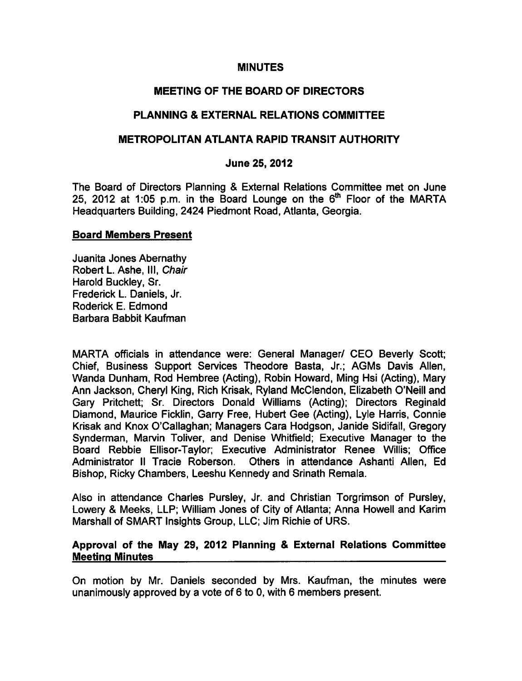### **MINUTES**

# MEETING OF THE BOARD OF DIRECTORS

# PLANNING & EXTERNAL RELATIONS COMMITTEE

### METROPOLITAN ATLANTA RAPID TRANSIT AUTHORITY

#### June 25, 2012

The Board of Directors Planning & External Relations Committee met on June 25, 2012 at 1:05 p.m. in the Board Lounge on the  $6<sup>th</sup>$  Floor of the MARTA Headquarters Building, 2424 Piedmont Road, Atlanta, Georgia.

#### Board Members Present

Juanita Jones Abernathy Robert L. Ashe, III, Chair Harold Buckley, Sr. Frederick L. Daniels, Jr. Roderick E. Edmond Barbara Babbit Kaufman

MARTA officials in attendance were: General Manager/ CEO Beverly Scott; Chief, Business Support Services Theodore Basta, Jr.; AGMs Davis Allen, Wanda Dunham, Rod Hembree (Acting), Robin Howard, Ming Hsi (Acting), Mary Ann Jackson, Cheryl King, Rich Krisak, Ryland McClendon, Elizabeth O'Neill and Gary Pritchett; Sr. Directors Donald Williams (Acting); Directors Reginald Diamond, Maurice Ficklin, Garry Free, Hubert Gee (Acting), Lyle Harris, Connie Krisak and Knox O'Callaghan; Managers Cara Hodgson, Janide Sidifall, Gregory Synderman, Marvin Toliver, and Denise Whitfield; Executive Manager to the Board Rebbie Ellisor-Taylor; Executive Administrator Renee Willis; Office Administrator II Tracie Roberson. Others in attendance Ashanti Allen, Ed Bishop, Ricky Chambers, Leeshu Kennedy and Srinath Remala.

Also in attendance Charles Pursley, Jr. and Christian Torgrimson of Pursley, Lowery & Meeks, LLP; William Jones of City of Atlanta; Anna Howell and Karim Marshall of SMART Insights Group, LLC; Jim Richie of URS.

# Approval of the May 29, 2012 Planning & External Relations Committee Meeting Minutes

On motion by Mr. Daniels seconded by Mrs. Kaufman, the minutes were unanimously approved by a vote of  $6$  to 0, with  $6$  members present.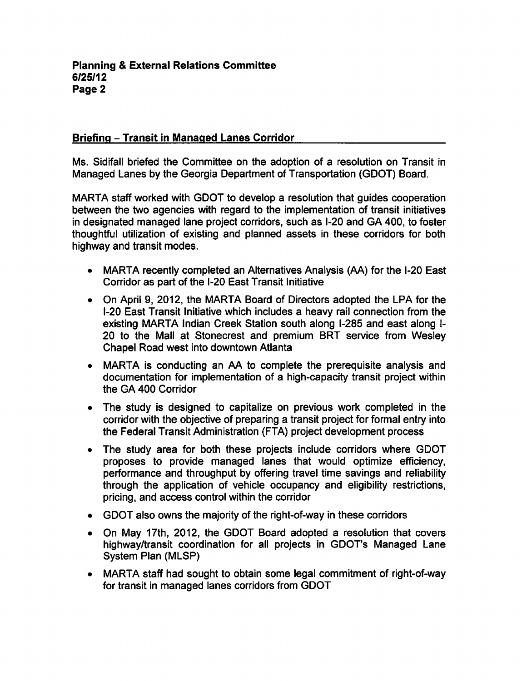# Briefing - Transit in Managed Lanes Corridor

Ms. Sidifall briefed the Committee on the adoption of a resolution on Transit in Managed Lanes by the Georgia Department of Transportation (GDOT) Board.

MARTA staff worked with GDOT to develop a resolution that guides cooperation between the two agencies with regard to the implementation of transit initiatives in designated managed lane project corridors, such as I-20 and GA 400, to foster thoughtful utilization of existing and planned assets in these corridors for both highway and transit modes.

- MARTA recently completed an Alternatives Analysis (AA) for the I-20 East Corridor as part of the I-20 East Transit Initiative
- On April 9, 2012, the MARTA Board of Directors adopted the LPA for the I-20 East Transit Initiative which includes a heavy rail connection from the existing MARTA Indian Creek Station south along I-285 and east along I-20 to the Mall at Stonecrest and premium BRT service from Wesley Chapel Road west into downtown Atlanta
- MARTA is conducting an AA to complete the prerequisite analysis and documentation for implementation of a high-capacity transit project within the GA 400 Corridor
- The study is designed to capitalize on previous work completed in the corridor with the objective of preparing a transit project for formal entry into the Federal Transit Administration (FTA) project development process
- The study area for both these projects include corridors where GDOT  $\bullet$ proposes to provide managed lanes that would optimize efficiency, performance and throughput by offering travel time savings and reliability through the application of vehicle occupancy and eligibility restrictions, pricing, and access control within the corridor
- GDOT also owns the majority of the right-of-way in these corridors
- On May 17th, 2012, the GDOT Board adopted a resolution that covers highway/transit coordination for all projects in GDOT's Managed Lane System Plan (MLSP)
- MARTA staff had sought to obtain some legal commitment of right-of-way for transit in managed lanes corridors from GDOT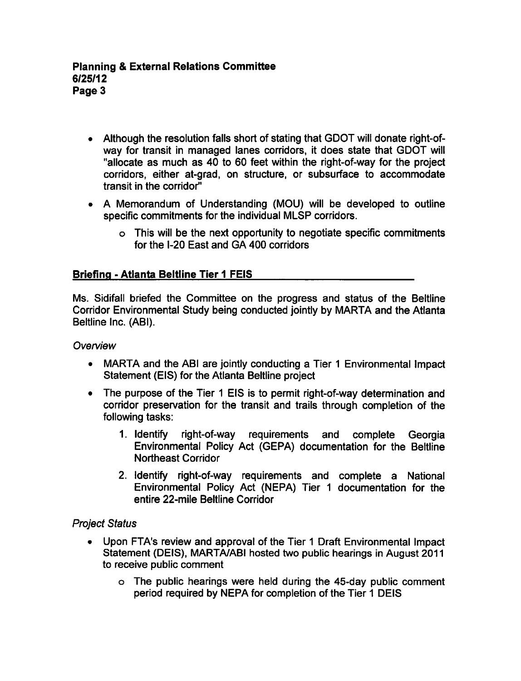- Although the resolution falls short of stating that GDOT will donate right-ofway for transit in managed lanes corridors, it does state that GDOT will "allocate as much as 40 to 60 feet within the right-of-way for the project corridors, either at-grad, on structure, or subsurface to accommodate transit in the corridor"
- A Memorandum of Understanding (MOU) will be developed to outline specific commitments for the individual MLSP corridors.
	- This will be the next opportunity to negotiate specific commitments for the I-20 East and GA 400 corridors

# **Briefing - Atlanta Beltline Tier 1 FEIS**

Ms. Sidifall briefed the Committee on the progress and status of the Beltline Corridor Environmental Study being conducted jointly by MARTA and the Atlanta Beltline Inc. (ABI).

### **Overview**

- MARTA and the ABI are jointly conducting a Tier 1 Environmental Impact  $\bullet$ Statement (EIS) for the Atlanta Beltline project
- The purpose of the Tier 1 EIS is to permit right-of-way determination and corridor preservation for the transit and trails through completion of the following tasks:
	- 1. Identify right-of-way requirements and complete Georgia Environmental Policy Act (GEPA) documentation for the Beltline Northeast Corridor
	- 2. Identify right-of-way requirements and complete a National Environmental Policy Act (NEPA) Tier 1 documentation for the entire 22-mile Beltline Corridor

## Project Status

- Upon FTA's review and approval of the Tier 1 Draft Environmental Impact Statement (DEIS), MARTA/ABI hosted two public hearings in August 2011 to receive public comment
	- The public hearings were held during the 45-day public comment period required by NEPA for completion of the Tier 1 DEIS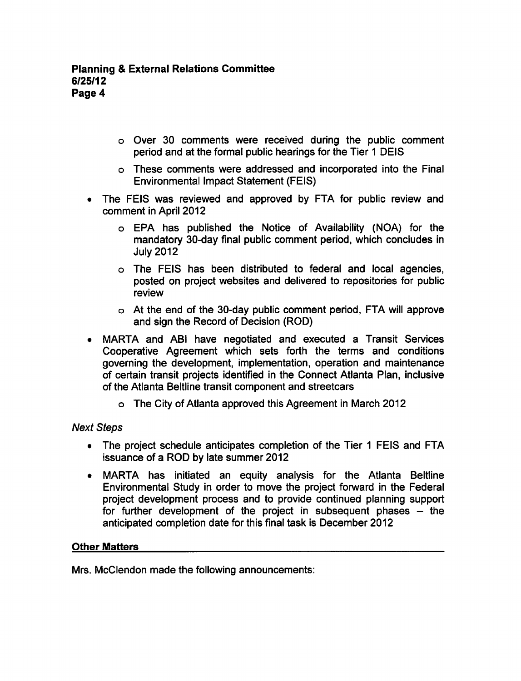- o Over 30 comments were received during the public comment period and at the formal public hearings for the Tier 1 DEIS
- These comments were addressed and incorporated into the Final Environmental Impact Statement (FEIS)
- The FEIS was reviewed and approved by FTA for public review and  $\bullet$ comment in April 2012
	- EPA has published the Notice of Availability (NOA) for the mandatory 30-day final public comment period, which concludes in July 2012
	- The FEIS has been distributed to federal and local agencies, posted on project websites and delivered to repositories for public review
	- At the end of the 30-day public comment period, FTA will approve and sign the Record of Decision (ROD)
- MARTA and ABI have negotiated and executed a Transit Services  $\bullet$ Cooperative Agreement which sets forth the terms and conditions governing the development, implementation, operation and maintenance of certain transit projects identified in the Connect Atlanta Plan, inclusive of the Atlanta Beltline transit component and streetcars
	- The City of Atlanta approved this Agreement in March 2012

# Next Steps

- The project schedule anticipates completion of the Tier 1 FEIS and FTA issuance of a ROD by late summer 2012
- MARTA has initiated an equity analysis for the Atlanta Beltline Environmental Study in order to move the project forward in the Federal project development process and to provide continued planning support for further development of the project in subsequent phases  $-$  the anticipated completion date for this final task is December 2012

# Other Matters

Mrs. McClendon made the following announcements: